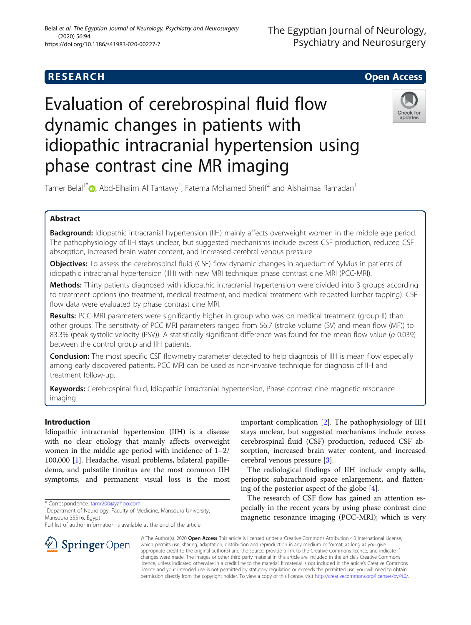# **RESEARCH CHE Open Access**

# Evaluation of cerebrospinal fluid flow dynamic changes in patients with idiopathic intracranial hypertension using phase contrast cine MR imaging



Tamer Belal<sup>1\*</sup> $\bm{\odot}$ [,](https://orcid.org/0000-0002-1876-4338) Abd-Elhalim Al Tantawy<sup>1</sup>, Fatema Mohamed Sherif<sup>2</sup> and Alshaimaa Ramadan<sup>1</sup>

# Abstract

Background: Idiopathic intracranial hypertension (IIH) mainly affects overweight women in the middle age period. The pathophysiology of IIH stays unclear, but suggested mechanisms include excess CSF production, reduced CSF absorption, increased brain water content, and increased cerebral venous pressure

Objectives: To assess the cerebrospinal fluid (CSF) flow dynamic changes in aqueduct of Sylvius in patients of idiopathic intracranial hypertension (IIH) with new MRI technique: phase contrast cine MRI (PCC-MRI).

Methods: Thirty patients diagnosed with idiopathic intracranial hypertension were divided into 3 groups according to treatment options (no treatment, medical treatment, and medical treatment with repeated lumbar tapping). CSF flow data were evaluated by phase contrast cine MRI.

Results: PCC-MRI parameters were significantly higher in group who was on medical treatment (group II) than other groups. The sensitivity of PCC MRI parameters ranged from 56.7 (stroke volume (SV) and mean flow (MF)) to 83.3% (peak systolic velocity (PSV)). A statistically significant difference was found for the mean flow value ( $p$  0.039) between the control group and IIH patients.

**Conclusion:** The most specific CSF flowmetry parameter detected to help diagnosis of IIH is mean flow especially among early discovered patients. PCC MRI can be used as non-invasive technique for diagnosis of IIH and treatment follow-up.

Keywords: Cerebrospinal fluid, Idiopathic intracranial hypertension, Phase contrast cine magnetic resonance imaging

## Introduction

Idiopathic intracranial hypertension (IIH) is a disease with no clear etiology that mainly affects overweight women in the middle age period with incidence of 1–2/ 100,000 [[1\]](#page-4-0). Headache, visual problems, bilateral papilledema, and pulsatile tinnitus are the most common IIH symptoms, and permanent visual loss is the most

\* Correspondence: [tamr200@yahoo.com](mailto:tamr200@yahoo.com) <sup>1</sup>

Full list of author information is available at the end of the article

important complication [\[2](#page-4-0)]. The pathophysiology of IIH stays unclear, but suggested mechanisms include excess cerebrospinal fluid (CSF) production, reduced CSF absorption, increased brain water content, and increased cerebral venous pressure [\[3](#page-4-0)].

The radiological findings of IIH include empty sella, perioptic subarachnoid space enlargement, and flattening of the posterior aspect of the globe [[4\]](#page-4-0).

The research of CSF flow has gained an attention especially in the recent years by using phase contrast cine magnetic resonance imaging (PCC-MRI); which is very

© The Author(s). 2020 Open Access This article is licensed under a Creative Commons Attribution 4.0 International License, which permits use, sharing, adaptation, distribution and reproduction in any medium or format, as long as you give appropriate credit to the original author(s) and the source, provide a link to the Creative Commons licence, and indicate if changes were made. The images or other third party material in this article are included in the article's Creative Commons licence, unless indicated otherwise in a credit line to the material. If material is not included in the article's Creative Commons licence and your intended use is not permitted by statutory regulation or exceeds the permitted use, you will need to obtain permission directly from the copyright holder. To view a copy of this licence, visit <http://creativecommons.org/licenses/by/4.0/>.



<sup>&</sup>lt;sup>1</sup> Department of Neurology, Faculty of Medicine, Mansoura University, Mansoura 35516, Egypt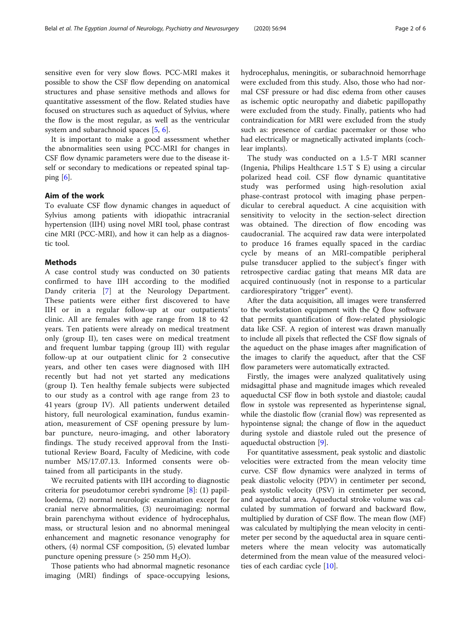sensitive even for very slow flows. PCC-MRI makes it possible to show the CSF flow depending on anatomical structures and phase sensitive methods and allows for quantitative assessment of the flow. Related studies have focused on structures such as aqueduct of Sylvius, where the flow is the most regular, as well as the ventricular system and subarachnoid spaces [\[5,](#page-4-0) [6\]](#page-4-0).

It is important to make a good assessment whether the abnormalities seen using PCC-MRI for changes in CSF flow dynamic parameters were due to the disease itself or secondary to medications or repeated spinal tapping  $[6]$  $[6]$ .

### Aim of the work

To evaluate CSF flow dynamic changes in aqueduct of Sylvius among patients with idiopathic intracranial hypertension (IIH) using novel MRI tool, phase contrast cine MRI (PCC-MRI), and how it can help as a diagnostic tool.

### Methods

A case control study was conducted on 30 patients confirmed to have IIH according to the modified Dandy criteria [[7\]](#page-4-0) at the Neurology Department. These patients were either first discovered to have IIH or in a regular follow-up at our outpatients' clinic. All are females with age range from 18 to 42 years. Ten patients were already on medical treatment only (group II), ten cases were on medical treatment and frequent lumbar tapping (group III) with regular follow-up at our outpatient clinic for 2 consecutive years, and other ten cases were diagnosed with IIH recently but had not yet started any medications (group I). Ten healthy female subjects were subjected to our study as a control with age range from 23 to 41 years (group IV). All patients underwent detailed history, full neurological examination, fundus examination, measurement of CSF opening pressure by lumbar puncture, neuro-imaging, and other laboratory findings. The study received approval from the Institutional Review Board, Faculty of Medicine, with code number MS/17.07.13. Informed consents were obtained from all participants in the study.

We recruited patients with IIH according to diagnostic criteria for pseudotumor cerebri syndrome [\[8](#page-4-0)]: (1) papilloedema, (2) normal neurologic examination except for cranial nerve abnormalities, (3) neuroimaging: normal brain parenchyma without evidence of hydrocephalus, mass, or structural lesion and no abnormal meningeal enhancement and magnetic resonance venography for others, (4) normal CSF composition, (5) elevated lumbar puncture opening pressure ( $> 250$  mm  $H<sub>2</sub>O$ ).

Those patients who had abnormal magnetic resonance imaging (MRI) findings of space-occupying lesions, hydrocephalus, meningitis, or subarachnoid hemorrhage were excluded from this study. Also, those who had normal CSF pressure or had disc edema from other causes as ischemic optic neuropathy and diabetic papillopathy were excluded from the study. Finally, patients who had contraindication for MRI were excluded from the study such as: presence of cardiac pacemaker or those who had electrically or magnetically activated implants (cochlear implants).

The study was conducted on a 1.5-T MRI scanner (Ingenia, Philips Healthcare 1.5 T S E) using a circular polarized head coil. CSF flow dynamic quantitative study was performed using high-resolution axial phase-contrast protocol with imaging phase perpendicular to cerebral aqueduct. A cine acquisition with sensitivity to velocity in the section-select direction was obtained. The direction of flow encoding was caudocranial. The acquired raw data were interpolated to produce 16 frames equally spaced in the cardiac cycle by means of an MRI-compatible peripheral pulse transducer applied to the subject's finger with retrospective cardiac gating that means MR data are acquired continuously (not in response to a particular cardiorespiratory "trigger" event).

After the data acquisition, all images were transferred to the workstation equipment with the Q flow software that permits quantification of flow-related physiologic data like CSF. A region of interest was drawn manually to include all pixels that reflected the CSF flow signals of the aqueduct on the phase images after magnification of the images to clarify the aqueduct, after that the CSF flow parameters were automatically extracted.

Firstly, the images were analyzed qualitatively using midsagittal phase and magnitude images which revealed aqueductal CSF flow in both systole and diastole; caudal flow in systole was represented as hyperintense signal, while the diastolic flow (cranial flow) was represented as hypointense signal; the change of flow in the aqueduct during systole and diastole ruled out the presence of aqueductal obstruction [[9\]](#page-4-0).

For quantitative assessment, peak systolic and diastolic velocities were extracted from the mean velocity time curve. CSF flow dynamics were analyzed in terms of peak diastolic velocity (PDV) in centimeter per second, peak systolic velocity (PSV) in centimeter per second, and aqueductal area. Aqueductal stroke volume was calculated by summation of forward and backward flow, multiplied by duration of CSF flow. The mean flow (MF) was calculated by multiplying the mean velocity in centimeter per second by the aqueductal area in square centimeters where the mean velocity was automatically determined from the mean value of the measured velocities of each cardiac cycle [\[10\]](#page-4-0).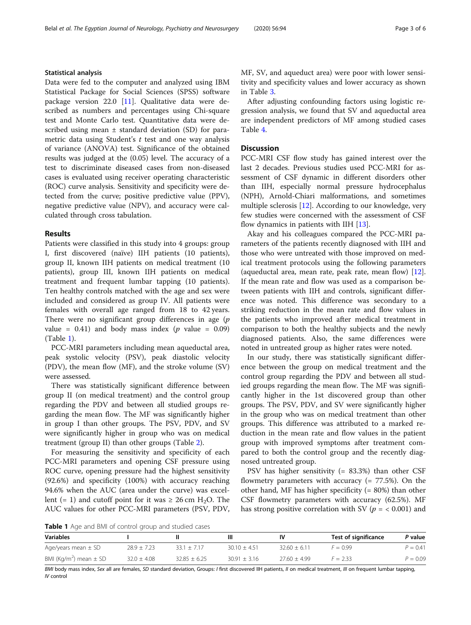#### Statistical analysis

Data were fed to the computer and analyzed using IBM Statistical Package for Social Sciences (SPSS) software package version 22.0 [[11\]](#page-4-0). Qualitative data were described as numbers and percentages using Chi-square test and Monte Carlo test. Quantitative data were described using mean ± standard deviation (SD) for parametric data using Student's  $t$  test and one way analysis of variance (ANOVA) test. Significance of the obtained results was judged at the (0.05) level. The accuracy of a test to discriminate diseased cases from non-diseased cases is evaluated using receiver operating characteristic (ROC) curve analysis. Sensitivity and specificity were detected from the curve; positive predictive value (PPV), negative predictive value (NPV), and accuracy were calculated through cross tabulation.

#### Results

Patients were classified in this study into 4 groups: group I, first discovered (naïve) IIH patients (10 patients), group II, known IIH patients on medical treatment (10 patients), group III, known IIH patients on medical treatment and frequent lumbar tapping (10 patients). Ten healthy controls matched with the age and sex were included and considered as group IV. All patients were females with overall age ranged from 18 to 42 years. There were no significant group differences in age  $(p)$ value =  $0.41$ ) and body mass index (*p* value =  $0.09$ ) (Table 1).

PCC-MRI parameters including mean aqueductal area, peak systolic velocity (PSV), peak diastolic velocity (PDV), the mean flow (MF), and the stroke volume (SV) were assessed.

There was statistically significant difference between group II (on medical treatment) and the control group regarding the PDV and between all studied groups regarding the mean flow. The MF was significantly higher in group I than other groups. The PSV, PDV, and SV were significantly higher in group who was on medical treatment (group II) than other groups (Table [2](#page-3-0)).

For measuring the sensitivity and specificity of each PCC-MRI parameters and opening CSF pressure using ROC curve, opening pressure had the highest sensitivity (92.6%) and specificity (100%) with accuracy reaching 94.6% when the AUC (area under the curve) was excellent (= 1) and cutoff point for it was  $\geq 26$  cm H<sub>2</sub>O. The AUC values for other PCC-MRI parameters (PSV, PDV, MF, SV, and aqueduct area) were poor with lower sensitivity and specificity values and lower accuracy as shown in Table [3.](#page-3-0)

After adjusting confounding factors using logistic regression analysis, we found that SV and aqueductal area are independent predictors of MF among studied cases Table [4.](#page-4-0)

#### **Discussion**

PCC-MRI CSF flow study has gained interest over the last 2 decades. Previous studies used PCC-MRI for assessment of CSF dynamic in different disorders other than IIH, especially normal pressure hydrocephalus (NPH), Arnold-Chiari malformations, and sometimes multiple sclerosis [[12](#page-4-0)]. According to our knowledge, very few studies were concerned with the assessment of CSF flow dynamics in patients with IIH [\[13](#page-5-0)].

Akay and his colleagues compared the PCC-MRI parameters of the patients recently diagnosed with IIH and those who were untreated with those improved on medical treatment protocols using the following parameters (aqueductal area, mean rate, peak rate, mean flow) [\[12](#page-4-0)]. If the mean rate and flow was used as a comparison between patients with IIH and controls, significant difference was noted. This difference was secondary to a striking reduction in the mean rate and flow values in the patients who improved after medical treatment in comparison to both the healthy subjects and the newly diagnosed patients. Also, the same differences were noted in untreated group as higher rates were noted.

In our study, there was statistically significant difference between the group on medical treatment and the control group regarding the PDV and between all studied groups regarding the mean flow. The MF was significantly higher in the 1st discovered group than other groups. The PSV, PDV, and SV were significantly higher in the group who was on medical treatment than other groups. This difference was attributed to a marked reduction in the mean rate and flow values in the patient group with improved symptoms after treatment compared to both the control group and the recently diagnosed untreated group.

PSV has higher sensitivity (= 83.3%) than other CSF flowmetry parameters with accuracy  $(= 77.5\%)$ . On the other hand, MF has higher specificity  $(= 80%)$  than other CSF flowmetry parameters with accuracy (62.5%). MF has strong positive correlation with SV ( $p = < 0.001$ ) and

Table 1 Age and BMI of control group and studied cases

| <b>Variables</b>                       |                 |                  | Ш                |                | Test of significance | P value    |
|----------------------------------------|-----------------|------------------|------------------|----------------|----------------------|------------|
| Age/years mean $\pm$ SD                | $28.9 \pm 7.23$ | $33.1 \pm 7.17$  | $30.10 + 4.51$   | $3260 + 611$   | $F = 0.99$           | $P = 0.41$ |
| BMI (Kg/m <sup>2</sup> ) mean $\pm$ SD | $32.0 \pm 4.08$ | $32.85 \pm 6.25$ | $30.91 \pm 3.16$ | $27.60 + 4.99$ | $F = 2.33$           | $P = 0.09$ |

BMI body mass index, Sex all are females, SD standard deviation, Groups: I first discovered IIH patients, II on medical treatment, III on frequent lumbar tapping, IV control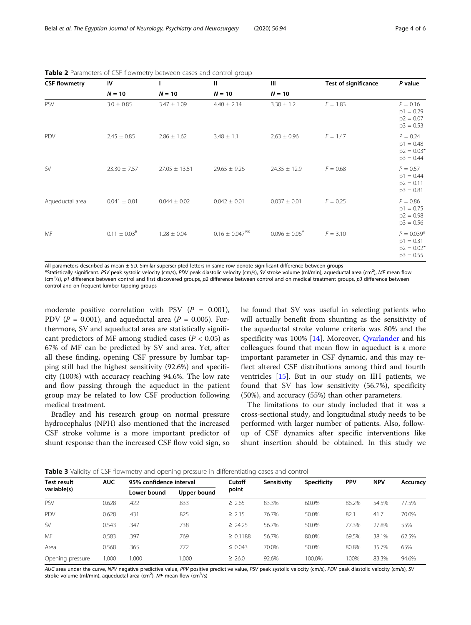| <b>CSF flowmetry</b> | IV                |                   | $\mathbf{H}$          | Ш                           | Test of significance | P value                                                    |
|----------------------|-------------------|-------------------|-----------------------|-----------------------------|----------------------|------------------------------------------------------------|
|                      | $N = 10$          | $N = 10$          | $N = 10$              | $N = 10$                    |                      |                                                            |
| PSV                  | $3.0 \pm 0.85$    | $3.47 \pm 1.09$   | $4.40 \pm 2.14$       | $3.30 \pm 1.2$              | $F = 1.83$           | $P = 0.16$<br>$p1 = 0.29$<br>$p2 = 0.07$<br>$p3 = 0.53$    |
| PDV                  | $2.45 \pm 0.85$   | $2.86 \pm 1.62$   | $3.48 \pm 1.1$        | $2.63 \pm 0.96$             | $F = 1.47$           | $P = 0.24$<br>$p1 = 0.48$<br>$p2 = 0.03*$<br>$p3 = 0.44$   |
| <b>SV</b>            | $23.30 \pm 7.57$  | $27.05 \pm 13.51$ | $29.65 \pm 9.26$      | $24.35 \pm 12.9$            | $F = 0.68$           | $P = 0.57$<br>$p1 = 0.44$<br>$p2 = 0.11$<br>$p3 = 0.81$    |
| Aqueductal area      | $0.041 \pm 0.01$  | $0.044 \pm 0.02$  | $0.042 \pm 0.01$      | $0.037 \pm 0.01$            | $F = 0.25$           | $P = 0.86$<br>$p1 = 0.75$<br>$p2 = 0.98$<br>$p3 = 0.56$    |
| MF                   | $0.11 \pm 0.03^B$ | $1.28 \pm 0.04$   | $0.16 \pm 0.047^{AB}$ | $0.096 \pm 0.06^{\text{A}}$ | $F = 3.10$           | $P = 0.039*$<br>$p1 = 0.31$<br>$p2 = 0.02*$<br>$p3 = 0.55$ |

<span id="page-3-0"></span>Table 2 Parameters of CSF flowmetry between cases and control group

All parameters described as mean  $\pm$  SD. Similar superscripted letters in same row denote significant difference between groups

\*Statistically significant. PSV peak systolic velocity (cm/s), PDV peak diastolic velocity (cm/s), SV stroke volume (ml/min), aqueductal area (cm<sup>2</sup>), MF mean flow (cm<sup>3</sup>/s), p1 difference between control and first discovered groups, p2 difference between control and on medical treatment groups, p3 difference between control and on frequent lumber tapping groups

moderate positive correlation with PSV  $(P = 0.001)$ , PDV ( $P = 0.001$ ), and aqueductal area ( $P = 0.005$ ). Furthermore, SV and aqueductal area are statistically significant predictors of MF among studied cases ( $P < 0.05$ ) as 67% of MF can be predicted by SV and area. Yet, after all these finding, opening CSF pressure by lumbar tapping still had the highest sensitivity (92.6%) and specificity (100%) with accuracy reaching 94.6%. The low rate and flow passing through the aqueduct in the patient group may be related to low CSF production following medical treatment.

Bradley and his research group on normal pressure hydrocephalus (NPH) also mentioned that the increased CSF stroke volume is a more important predictor of shunt response than the increased CSF flow void sign, so he found that SV was useful in selecting patients who will actually benefit from shunting as the sensitivity of the aqueductal stroke volume criteria was 80% and the specificity was 100% [\[14\]](#page-5-0). Moreover, [Qvarlander](https://www.ncbi.nlm.nih.gov/pubmed/?term=Qvarlander%20S%5BAuthor%5D&cauthor=true&cauthor_uid=27388230) and his colleagues found that mean flow in aqueduct is a more important parameter in CSF dynamic, and this may reflect altered CSF distributions among third and fourth ventricles [\[15\]](#page-5-0). But in our study on IIH patients, we found that SV has low sensitivity (56.7%), specificity (50%), and accuracy (55%) than other parameters.

The limitations to our study included that it was a cross-sectional study, and longitudinal study needs to be performed with larger number of patients. Also, followup of CSF dynamics after specific interventions like shunt insertion should be obtained. In this study we

|  |  |  |  | Table 3 Validity of CSF flowmetry and opening pressure in differentiating cases and control |
|--|--|--|--|---------------------------------------------------------------------------------------------|
|  |  |  |  |                                                                                             |

| <b>Test result</b> | <b>AUC</b> | 95% confidence interval |             | Cutoff        | Sensitivity | <b>Specificity</b> | <b>PPV</b> | <b>NPV</b> | Accuracy |
|--------------------|------------|-------------------------|-------------|---------------|-------------|--------------------|------------|------------|----------|
| variable(s)        |            | Lower bound             | Upper bound | point         |             |                    |            |            |          |
| <b>PSV</b>         | 0.628      | .422                    | .833        | $\geq 2.65$   | 83.3%       | 60.0%              | 86.2%      | 54.5%      | 77.5%    |
| PDV                | 0.628      | .431                    | .825        | $\geq 2.15$   | 76.7%       | 50.0%              | 82.1       | 41.7       | 70.0%    |
| <b>SV</b>          | 0.543      | 347                     | .738        | $\geq$ 24.25  | 56.7%       | 50.0%              | 77.3%      | 27.8%      | 55%      |
| MF                 | 0.583      | .397                    | .769        | $\geq 0.1188$ | 56.7%       | 80.0%              | 69.5%      | 38.1%      | 62.5%    |
| Area               | 0.568      | .365                    | .772        | $\leq 0.043$  | 70.0%       | 50.0%              | 80.8%      | 35.7%      | 65%      |
| Opening pressure   | 1.000      | 1.000                   | 000.1       | $\geq 26.0$   | 92.6%       | 100.0%             | 100%       | 83.3%      | 94.6%    |

AUC area under the curve, NPV negative predictive value, PPV positive predictive value, PSV peak systolic velocity (cm/s), PDV peak diastolic velocity (cm/s), SV stroke volume (ml/min), aqueductal area (cm<sup>2</sup>), MF mean flow (cm<sup>3</sup>/s)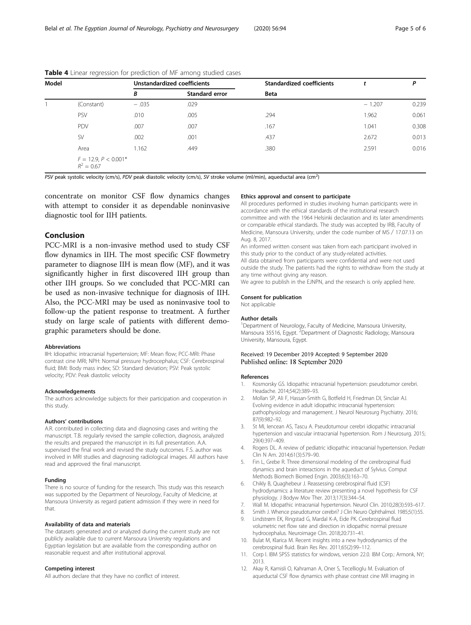| Model |                                        |         | Unstandardized coefficients | <b>Standardized coefficients</b> |          | P     |
|-------|----------------------------------------|---------|-----------------------------|----------------------------------|----------|-------|
|       |                                        | В       | <b>Standard error</b>       | <b>Beta</b>                      |          |       |
|       | (Constant)                             | $-.035$ | .029                        |                                  | $-1.207$ | 0.239 |
|       | PSV                                    | .010    | .005                        | .294                             | 1.962    | 0.061 |
|       | PDV                                    | .007    | .007                        | .167                             | 1.041    | 0.308 |
|       | <b>SV</b>                              | .002    | .001                        | .437                             | 2.672    | 0.013 |
|       | Area                                   | 1.162   | .449                        | .380                             | 2.591    | 0.016 |
|       | $F = 12.9, P < 0.001*$<br>$R^2 = 0.67$ |         |                             |                                  |          |       |

<span id="page-4-0"></span>Table 4 Linear regression for prediction of MF among studied cases

PSV peak systolic velocity (cm/s), PDV peak diastolic velocity (cm/s), SV stroke volume (ml/min), aqueductal area (cm<sup>2</sup>)

concentrate on monitor CSF flow dynamics changes with attempt to consider it as dependable noninvasive diagnostic tool for IIH patients.

### Conclusion

PCC-MRI is a non-invasive method used to study CSF flow dynamics in IIH. The most specific CSF flowmetry parameter to diagnose IIH is mean flow (MF), and it was significantly higher in first discovered IIH group than other IIH groups. So we concluded that PCC-MRI can be used as non-invasive technique for diagnosis of IIH. Also, the PCC-MRI may be used as noninvasive tool to follow-up the patient response to treatment. A further study on large scale of patients with different demographic parameters should be done.

#### Abbreviations

IIH: Idiopathic intracranial hypertension; MF: Mean flow; PCC-MRI: Phase contrast cine MRI; NPH: Normal pressure hydrocephalus; CSF: Cerebrospinal fluid; BMI: Body mass index; SD: Standard deviation; PSV: Peak systolic velocity; PDV: Peak diastolic velocity

#### Acknowledgements

The authors acknowledge subjects for their participation and cooperation in this study.

#### Authors' contributions

A.R. contributed in collecting data and diagnosing cases and writing the manuscript. T.B. regularly revised the sample collection, diagnosis, analyzed the results and prepared the manuscript in its full presentation. A.A. supervised the final work and revised the study outcomes. F.S. author was involved in MRI studies and diagnosing radiological images. All authors have read and approved the final manuscript.

#### Funding

There is no source of funding for the research. This study was this research was supported by the Department of Neurology, Faculty of Medicine, at Mansoura University as regard patient admission if they were in need for that.

#### Availability of data and materials

The datasets generated and or analyzed during the current study are not publicly available due to current Mansoura University regulations and Egyptian legislation but are available from the corresponding author on reasonable request and after institutional approval.

#### Competing interest

All authors declare that they have no conflict of interest.

#### Ethics approval and consent to participate

All procedures performed in studies involving human participants were in accordance with the ethical standards of the institutional research committee and with the 1964 Helsinki declaration and its later amendments or comparable ethical standards. The study was accepted by IRB, Faculty of Medicine, Mansoura University, under the code number of MS∕17.07.13 on Aug. 8, 2017.

An informed written consent was taken from each participant involved in this study prior to the conduct of any study-related activities. All data obtained from participants were confidential and were not used outside the study. The patients had the rights to withdraw from the study at any time without giving any reason.

We agree to publish in the EJNPN, and the research is only applied here.

#### Consent for publication

Not applicable

#### Author details

<sup>1</sup> Department of Neurology, Faculty of Medicine, Mansoura University, Mansoura 35516, Egypt. <sup>2</sup>Department of Diagnostic Radiology, Mansoura University, Mansoura, Egypt.

#### Received: 19 December 2019 Accepted: 9 September 2020 Published online: 18 September 2020

#### References

- 1. Kosmorsky GS. Idiopathic intracranial hypertension: pseudotumor cerebri. Headache. 2014;54(2):389–93.
- 2. Mollan SP, Ali F, Hassan-Smith G, Botfield H, Friedman DI, Sinclair AJ. Evolving evidence in adult idiopathic intracranial hypertension: pathophysiology and management. J Neurol Neurosurg Psychiatry. 2016; 87(9):982–92.
- 3. St MI, Iencean AS, Tascu A. Pseudotumour cerebri idiopathic intracranial hypertension and vascular intracranial hypertension. Rom J Neurosurg. 2015; 29(4):397–409.
- 4. Rogers DL. A review of pediatric idiopathic intracranial hypertension. Pediatr Clin N Am. 2014;61(3):579–90.
- 5. Fin L, Grebe R. Three dimensional modeling of the cerebrospinal fluid dynamics and brain interactions in the aqueduct of Sylvius. Comput Methods Biomech Biomed Engin. 2003;6(3):163–70.
- 6. Chikly B, Quaghebeur J. Reassessing cerebrospinal fluid (CSF) hydrodynamics: a literature review presenting a novel hypothesis for CSF physiology. J Bodyw Mov Ther. 2013;17(3):344–54.
- 7. Wall M. Idiopathic intracranial hypertension. Neurol Clin. 2010;28(3):593–617.
- 8. Smith J. Whence pseudotumor cerebri? J Clin Neuro Ophthalmol. 1985;5(1):55.
- 9. Lindstrøm EK, Ringstad G, Mardal K-A, Eide PK. Cerebrospinal fluid volumetric net flow rate and direction in idiopathic normal pressure hydrocephalus. Neuroimage Clin. 2018;20:731–41.
- 10. Bulat M, Klarica M. Recent insights into a new hydrodynamics of the cerebrospinal fluid. Brain Res Rev. 2011;65(2):99–112.
- 11. Corp I. IBM SPSS statistics for windows, version 22.0. IBM Corp.: Armonk, NY; 2013.
- 12. Akay R, Kamisli O, Kahraman A, Oner S, Tecellioglu M. Evaluation of aqueductal CSF flow dynamics with phase contrast cine MR imaging in